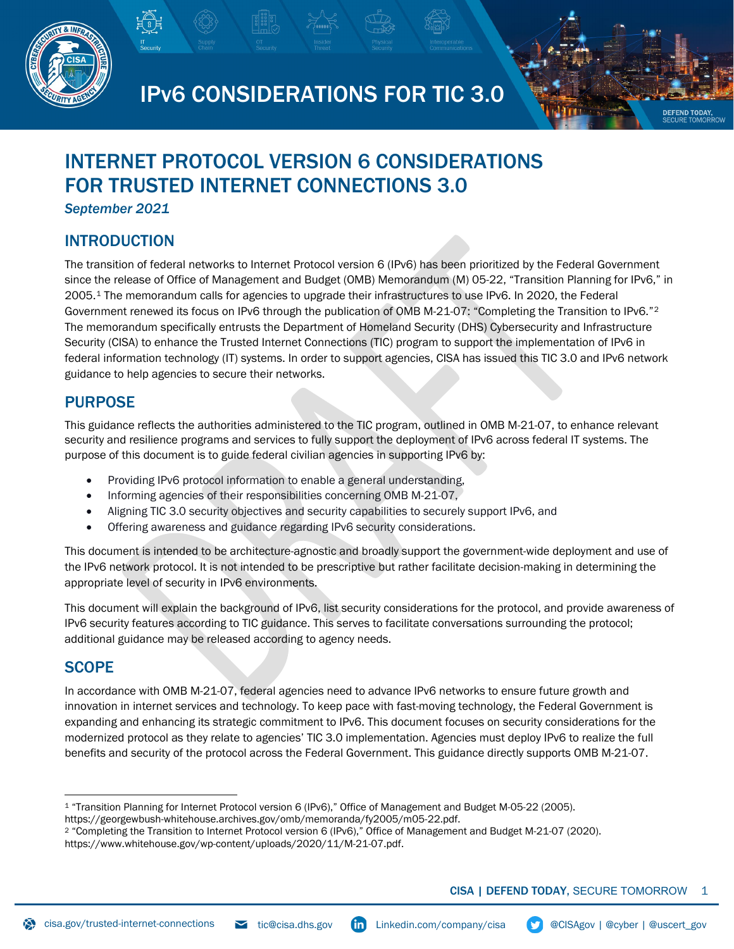

IPv6 CONSIDERATIONS FOR TIC 3.0

# DEFEND TODAY,

IPv6 Considerations for TIC 3.000 percent

# INTERNET PROTOCOL VERSION 6 CONSIDERATIONS FOR TRUSTED INTERNET CONNECTIONS 3.0

*September 2021*

## INTRODUCTION

The transition of federal networks to Internet Protocol version 6 (IPv6) has been prioritized by the Federal Government since the release of Office of Management and Budget (OMB) Memorandum (M) 05-22, "Transition Planning for IPv6," in 2005[.1](#page-0-0) The memorandum calls for agencies to upgrade their infrastructures to use IPv6. In 2020, the Federal Government renewed its focus on IPv6 through the publication of OMB M-21-07: "Completing the Transition to IPv6."[2](#page-0-1) The memorandum specifically entrusts the Department of Homeland Security (DHS) Cybersecurity and Infrastructure Security (CISA) to enhance the Trusted Internet Connections (TIC) program to support the implementation of IPv6 in federal information technology (IT) systems. In order to support agencies, CISA has issued this TIC 3.0 and IPv6 network guidance to help agencies to secure their networks.

## PURPOSE

This guidance reflects the authorities administered to the TIC program, outlined in OMB M-21-07, to enhance relevant security and resilience programs and services to fully support the deployment of IPv6 across federal IT systems. The purpose of this document is to guide federal civilian agencies in supporting IPv6 by:

- Providing IPv6 protocol information to enable a general understanding,
- Informing agencies of their responsibilities concerning OMB M-21-07,
- Aligning TIC 3.0 security objectives and security capabilities to securely support IPv6, and
- Offering awareness and guidance regarding IPv6 security considerations.

This document is intended to be architecture-agnostic and broadly support the government-wide deployment and use of the IPv6 network protocol. It is not intended to be prescriptive but rather facilitate decision-making in determining the appropriate level of security in IPv6 environments.

This document will explain the background of IPv6, list security considerations for the protocol, and provide awareness of IPv6 security features according to TIC guidance. This serves to facilitate conversations surrounding the protocol; additional guidance may be released according to agency needs.

## **SCOPE**

In accordance with OMB M-21-07, federal agencies need to advance IPv6 networks to ensure future growth and innovation in internet services and technology. To keep pace with fast-moving technology, the Federal Government is expanding and enhancing its strategic commitment to IPv6. This document focuses on security considerations for the modernized protocol as they relate to agencies' TIC 3.0 implementation. Agencies must deploy IPv6 to realize the full benefits and security of the protocol across the Federal Government. This guidance directly supports OMB M-21-07.

<span id="page-0-0"></span><sup>&</sup>lt;sup>1</sup> "Transition Planning for Internet Protocol version 6 (IPv6)," Office of Management and Budget M-05-22 (2005).<br>https://georgewbush-whitehouse.archives.gov/omb/memoranda/fy2005/m05-22.pdf.

<span id="page-0-1"></span><sup>&</sup>lt;sup>2</sup> "Completing the Transition to Internet Protocol version 6 (IPv6)," Office of Management and Budget M-21-07 (2020).

https://www.whitehouse.gov/wp-content/uploads/2020/11/M-21-07.pdf.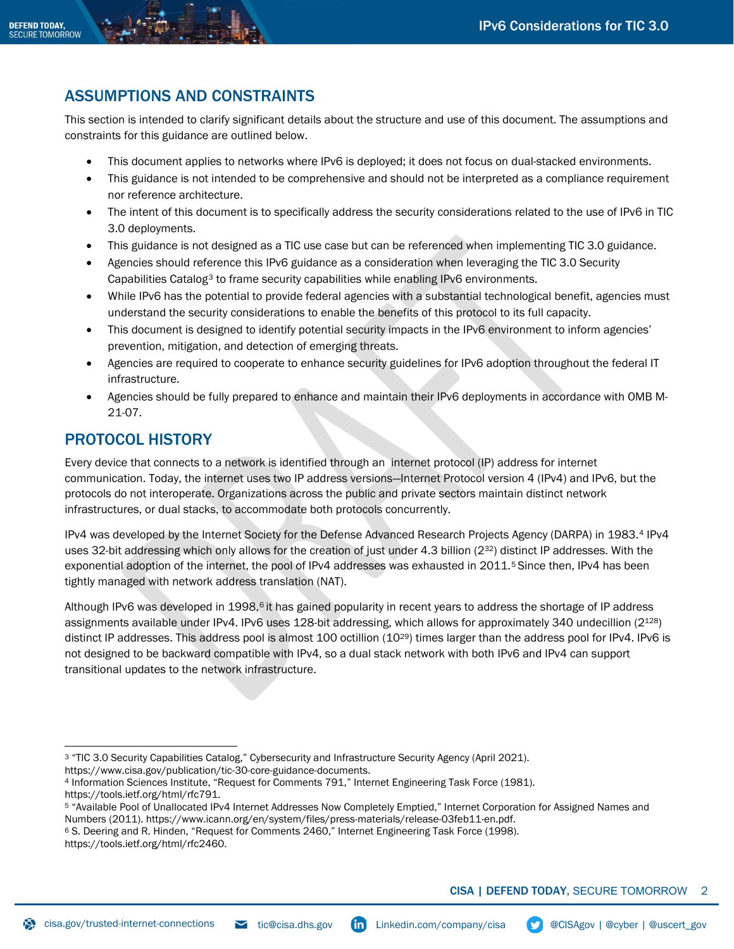## ASSUMPTIONS AND CONSTRAINTS

This section is intended to clarify significant details about the structure and use of this document. The assumptions and constraints for this guidance are outlined below.

- This document applies to networks where IPv6 is deployed; it does not focus on dual-stacked environments.
- This guidance is not intended to be comprehensive and should not be interpreted as a compliance requirement nor reference architecture.
- The intent of this document is to specifically address the security considerations related to the use of IPv6 in TIC 3.0 deployments.
- This guidance is not designed as a TIC use case but can be referenced when implementing TIC 3.0 guidance.
- Agencies should reference this IPv6 guidance as a consideration when leveraging the TIC 3.0 Security Capabilities Catalog<sup>[3](#page-1-0)</sup> to frame security capabilities while enabling IPv6 environments.
- While IPv6 has the potential to provide federal agencies with a substantial technological benefit, agencies must understand the security considerations to enable the benefits of this protocol to its full capacity.
- This document is designed to identify potential security impacts in the IPv6 environment to inform agencies' prevention, mitigation, and detection of emerging threats.
- Agencies are required to cooperate to enhance security guidelines for IPv6 adoption throughout the federal IT infrastructure.
- Agencies should be fully prepared to enhance and maintain their IPv6 deployments in accordance with OMB M-21-07.

## PROTOCOL HISTORY

Every device that connects to a network is identified through an internet protocol (IP) address for internet communication. Today, the internet uses two IP address versions—Internet Protocol version 4 (IPv4) and IPv6, but the protocols do not interoperate. Organizations across the public and private sectors maintain distinct network infrastructures, or dual stacks, to accommodate both protocols concurrently.

IPv4 was developed by the Internet Society for the Defense Advanced Research Projects Agency (DARPA) in 1983.[4](#page-1-1) IPv4 uses 32-bit addressing which only allows for the creation of just under 4.3 billion  $(2^{32})$  distinct IP addresses. With the exponential adoption of the internet, the pool of IPv4 addresses was exhausted in 2011.[5](#page-1-2) Since then, IPv4 has been tightly managed with network address translation (NAT).

Although IPv[6](#page-1-3) was developed in 1998,<sup>6</sup> it has gained popularity in recent years to address the shortage of IP address assignments available under IPv4. IPv6 uses 128-bit addressing, which allows for approximately 340 undecillion (2128) distinct IP addresses. This address pool is almost 100 octillion (10<sup>29)</sup> times larger than the address pool for IPv4. IPv6 is not designed to be backward compatible with IPv4, so a dual stack network with both IPv6 and IPv4 can support transitional updates to the network infrastructure.

<span id="page-1-0"></span><sup>3</sup> "TIC 3.0 Security Capabilities Catalog," Cybersecurity and Infrastructure Security Agency (April 2021). https://www.cisa.gov/publication/tic-30-core-guidance-documents.

<span id="page-1-1"></span><sup>4</sup> Information Sciences Institute, "Request for Comments 791," Internet Engineering Task Force (1981).

https://tools.ietf.org/html/rfc791.

<span id="page-1-2"></span><sup>5</sup> "Available Pool of Unallocated IPv4 Internet Addresses Now Completely Emptied," Internet Corporation for Assigned Names and

<span id="page-1-3"></span>Numbers (2011). https://www.icann.org/en/system/files/press-materials/release-03feb11-en.pdf.<br><sup>6</sup> S. Deering and R. Hinden, "Request for Comments 2460," Internet Engineering Task Force (1998). https://tools.ietf.org/html/rfc2460.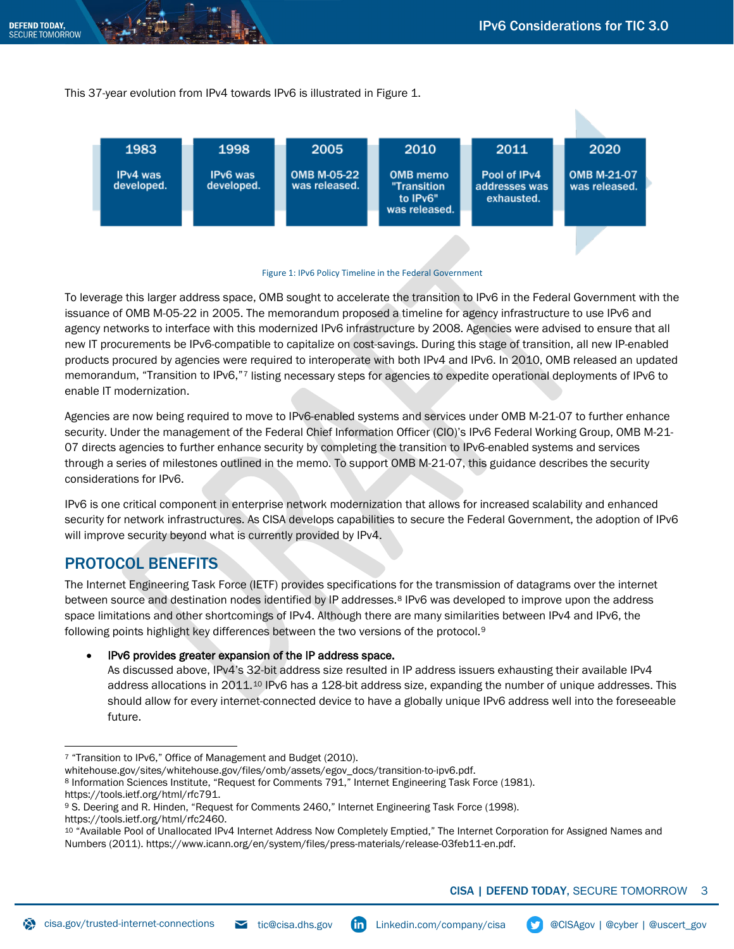This 37-year evolution from IPv4 towards IPv6 is illustrated in Figure 1.



#### Figure 1: IPv6 Policy Timeline in the Federal Government

To leverage this larger address space, OMB sought to accelerate the transition to IPv6 in the Federal Government with the issuance of OMB M-05-22 in 2005. The memorandum proposed a timeline for agency infrastructure to use IPv6 and agency networks to interface with this modernized IPv6 infrastructure by 2008. Agencies were advised to ensure that all new IT procurements be IPv6-compatible to capitalize on cost-savings. During this stage of transition, all new IP-enabled products procured by agencies were required to interoperate with both IPv4 and IPv6. In 2010, OMB released an updated memorandum, "Transition to IPv6,"[7](#page-2-0) listing necessary steps for agencies to expedite operational deployments of IPv6 to enable IT modernization.

Agencies are now being required to move to IPv6-enabled systems and services under OMB M-21-07 to further enhance security. Under the management of the Federal Chief Information Officer (CIO)'s IPv6 Federal Working Group, OMB M-21- 07 directs agencies to further enhance security by completing the transition to IPv6-enabled systems and services through a series of milestones outlined in the memo. To support OMB M-21-07, this guidance describes the security considerations for IPv6.

IPv6 is one critical component in enterprise network modernization that allows for increased scalability and enhanced security for network infrastructures. As CISA develops capabilities to secure the Federal Government, the adoption of IPv6 will improve security beyond what is currently provided by IPv4.

## PROTOCOL BENEFITS

The Internet Engineering Task Force (IETF) provides specifications for the transmission of datagrams over the internet between source and destination nodes identified by IP addresses.<sup>[8](#page-2-1)</sup> IPv6 was developed to improve upon the address space limitations and other shortcomings of IPv4. Although there are many similarities between IPv4 and IPv6, the following points highlight key differences between the two versions of the protocol.[9](#page-2-2)

• IPv6 provides greater expansion of the IP address space.

As discussed above, IPv4's 32-bit address size resulted in IP address issuers exhausting their available IPv4 address allocations in 2011.<sup>[10](#page-2-3)</sup> IPv6 has a 128-bit address size, expanding the number of unique addresses. This should allow for every internet-connected device to have a globally unique IPv6 address well into the foreseeable future.

<span id="page-2-0"></span><sup>7</sup> "Transition to IPv6," Office of Management and Budget (2010).

whitehouse.gov/sites/whitehouse.gov/files/omb/assets/egov\_docs/transition-to-ipv6.pdf.

<span id="page-2-1"></span><sup>8</sup> Information Sciences Institute, "Request for Comments 791," Internet Engineering Task Force (1981).

https://tools.ietf.org/html/rfc791.

<span id="page-2-2"></span><sup>9</sup> S. Deering and R. Hinden, "Request for Comments 2460," Internet Engineering Task Force (1998).

<span id="page-2-3"></span>https://tools.ietf.org/html/rfc2460.<br><sup>10</sup> "Available Pool of Unallocated IPv4 Internet Address Now Completely Emptied," The Internet Corporation for Assigned Names and Numbers (2011). https://www.icann.org/en/system/files/press-materials/release-03feb11-en.pdf.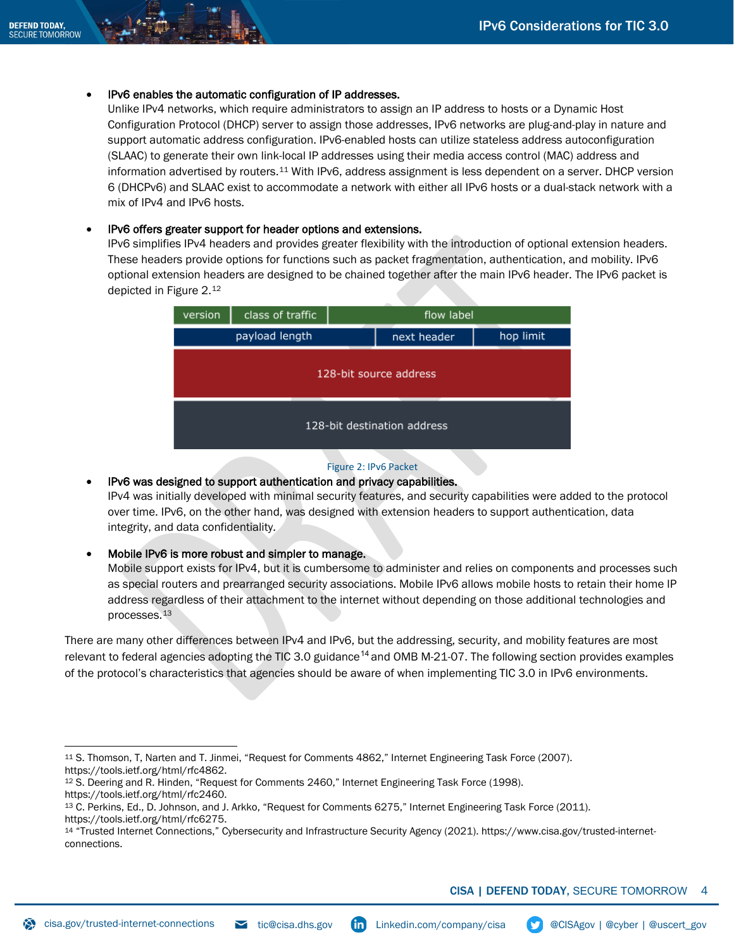## • IPv6 enables the automatic configuration of IP addresses.

Unlike IPv4 networks, which require administrators to assign an IP address to hosts or a Dynamic Host Configuration Protocol (DHCP) server to assign those addresses, IPv6 networks are plug-and-play in nature and support automatic address configuration. IPv6-enabled hosts can utilize stateless address autoconfiguration (SLAAC) to generate their own link-local IP addresses using their media access control (MAC) address and information advertised by routers.<sup>[11](#page-3-0)</sup> With IPv6, address assignment is less dependent on a server. DHCP version 6 (DHCPv6) and SLAAC exist to accommodate a network with either all IPv6 hosts or a dual-stack network with a mix of IPv4 and IPv6 hosts.

## IPv6 offers greater support for header options and extensions.

IPv6 simplifies IPv4 headers and provides greater flexibility with the introduction of optional extension headers. These headers provide options for functions such as packet fragmentation, authentication, and mobility. IPv6 optional extension headers are designed to be chained together after the main IPv6 header. The IPv6 packet is depicted in Figure 2.[12](#page-3-1)

| version                     | class of traffic | flow label  |           |  |  |
|-----------------------------|------------------|-------------|-----------|--|--|
| payload length              |                  | next header | hop limit |  |  |
| 128-bit source address      |                  |             |           |  |  |
| 128-bit destination address |                  |             |           |  |  |

#### Figure 2: IPv6 Packet

## • IPv6 was designed to support authentication and privacy capabilities.

IPv4 was initially developed with minimal security features, and security capabilities were added to the protocol over time. IPv6, on the other hand, was designed with extension headers to support authentication, data integrity, and data confidentiality.

## • Mobile IPv6 is more robust and simpler to manage.

Mobile support exists for IPv4, but it is cumbersome to administer and relies on components and processes such as special routers and prearranged security associations. Mobile IPv6 allows mobile hosts to retain their home IP address regardless of their attachment to the internet without depending on those additional technologies and processes.[13](#page-3-2)

There are many other differences between IPv4 and IPv6, but the addressing, security, and mobility features are most relevant to federal agencies adopting the TIC 3.0 guidance<sup>[14](#page-3-3)</sup> and OMB M-21-07. The following section provides examples of the protocol's characteristics that agencies should be aware of when implementing TIC 3.0 in IPv6 environments.

<span id="page-3-0"></span><sup>11</sup> S. Thomson, T, Narten and T. Jinmei, "Request for Comments 4862," Internet Engineering Task Force (2007). https://tools.ietf.org/html/rfc4862.

<span id="page-3-1"></span><sup>&</sup>lt;sup>12</sup> S. Deering and R. Hinden, "Request for Comments 2460," Internet Engineering Task Force (1998). https://tools.ietf.org/html/rfc2460.

<span id="page-3-2"></span><sup>13</sup> C. Perkins, Ed., D. Johnson, and J. Arkko, "Request for Comments 6275," Internet Engineering Task Force (2011). https://tools.ietf.org/html/rfc6275.

<span id="page-3-3"></span><sup>14</sup> "Trusted Internet Connections," Cybersecurity and Infrastructure Security Agency (2021). https://www.cisa.gov/trusted-internetconnections.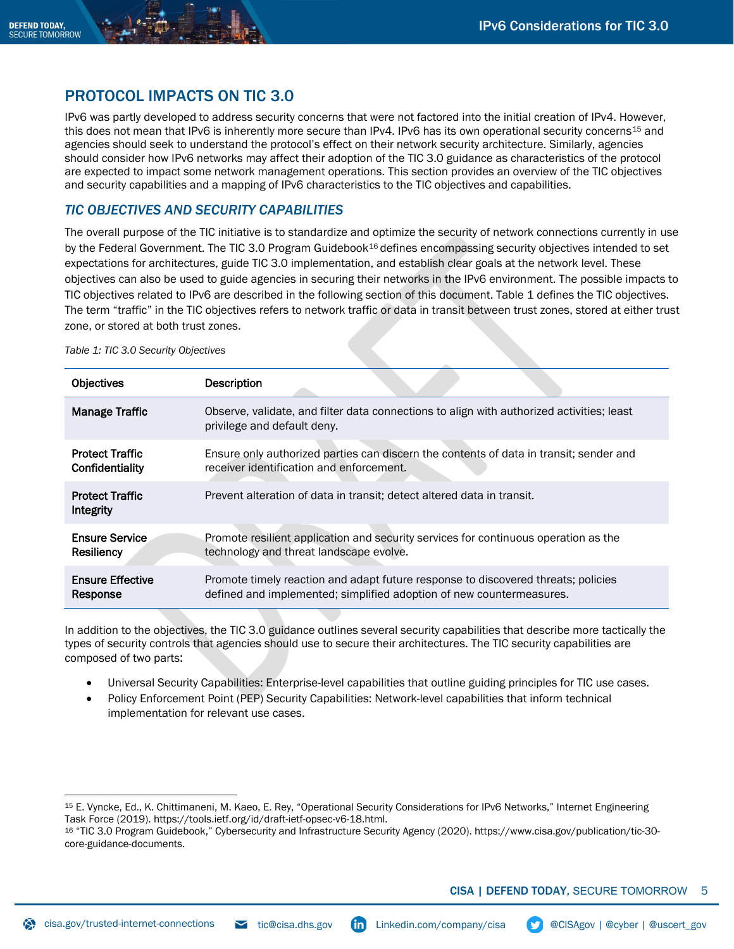## PROTOCOL IMPACTS ON TIC 3.0

IPv6 was partly developed to address security concerns that were not factored into the initial creation of IPv4. However, this does not mean that IPv6 is inherently more secure than IPv4. IPv6 has its own operational security concerns<sup>[15](#page-4-0)</sup> and agencies should seek to understand the protocol's effect on their network security architecture. Similarly, agencies should consider how IPv6 networks may affect their adoption of the TIC 3.0 guidance as characteristics of the protocol are expected to impact some network management operations. This section provides an overview of the TIC objectives and security capabilities and a mapping of IPv6 characteristics to the TIC objectives and capabilities.

## *TIC OBJECTIVES AND SECURITY CAPABILITIES*

The overall purpose of the TIC initiative is to standardize and optimize the security of network connections currently in use by the Federal Government. The TIC 3.0 Program Guidebook<sup>[16](#page-4-1)</sup> defines encompassing security objectives intended to set expectations for architectures, guide TIC 3.0 implementation, and establish clear goals at the network level. These objectives can also be used to guide agencies in securing their networks in the IPv6 environment. The possible impacts to TIC objectives related to IPv6 are described in the following section of this document. Table 1 defines the TIC objectives. The term "traffic" in the TIC objectives refers to network traffic or data in transit between trust zones, stored at either trust zone, or stored at both trust zones.

*Table 1: TIC 3.0 Security Objectives*

| <b>Objectives</b>                   | <b>Description</b>                                                                                                       |
|-------------------------------------|--------------------------------------------------------------------------------------------------------------------------|
| <b>Manage Traffic</b>               | Observe, validate, and filter data connections to align with authorized activities; least<br>privilege and default deny. |
| <b>Protect Traffic</b>              | Ensure only authorized parties can discern the contents of data in transit; sender and                                   |
| Confidentiality                     | receiver identification and enforcement.                                                                                 |
| <b>Protect Traffic</b><br>Integrity | Prevent alteration of data in transit; detect altered data in transit.                                                   |
| <b>Ensure Service</b>               | Promote resilient application and security services for continuous operation as the                                      |
| <b>Resiliency</b>                   | technology and threat landscape evolve.                                                                                  |
| <b>Ensure Effective</b>             | Promote timely reaction and adapt future response to discovered threats; policies                                        |
| Response                            | defined and implemented; simplified adoption of new countermeasures.                                                     |

In addition to the objectives, the TIC 3.0 guidance outlines several security capabilities that describe more tactically the types of security controls that agencies should use to secure their architectures. The TIC security capabilities are composed of two parts:

- Universal Security Capabilities: Enterprise-level capabilities that outline guiding principles for TIC use cases.
- Policy Enforcement Point (PEP) Security Capabilities: Network-level capabilities that inform technical implementation for relevant use cases.

<span id="page-4-0"></span><sup>15</sup> E. Vyncke, Ed., K. Chittimaneni, M. Kaeo, E. Rey, "Operational Security Considerations for IPv6 Networks," Internet Engineering Task Force (2019). https://tools.ietf.org/id/draft-ietf-opsec-v6-18.html.

<span id="page-4-1"></span><sup>16</sup> "TIC 3.0 Program Guidebook," Cybersecurity and Infrastructure Security Agency (2020). https://www.cisa.gov/publication/tic-30 core-guidance-documents.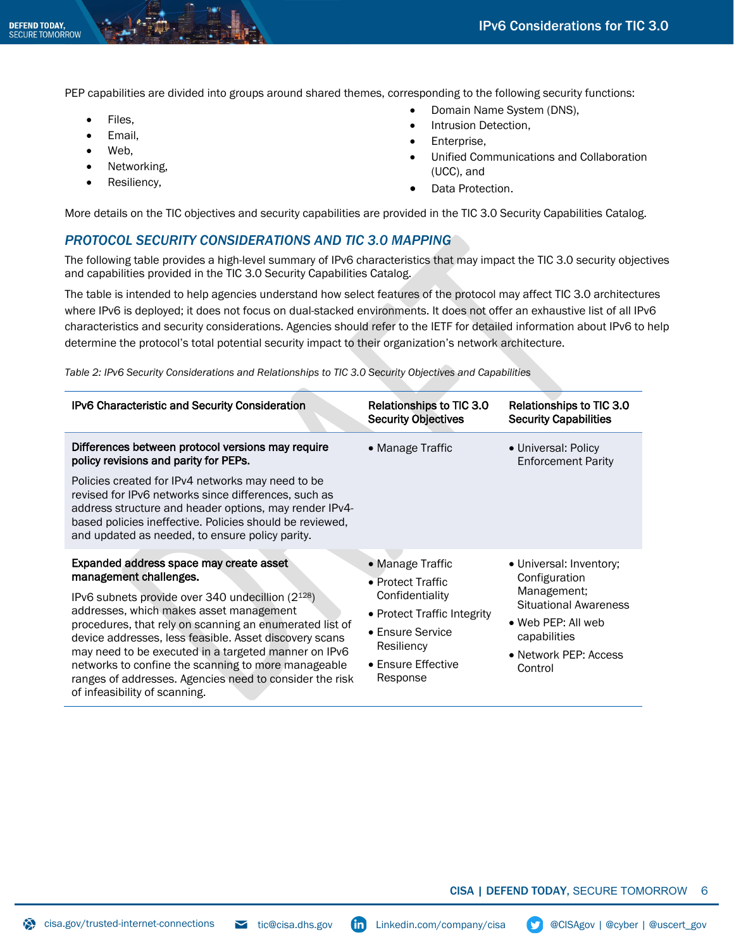PEP capabilities are divided into groups around shared themes, corresponding to the following security functions:

- Files.
- Email,
- Web,
- Networking,
- Resiliency,
- Domain Name System (DNS),
- Intrusion Detection,
- Enterprise,
- Unified Communications and Collaboration (UCC), and
- Data Protection.

More details on the TIC objectives and security capabilities are provided in the TIC 3.0 Security Capabilities Catalog.

## *PROTOCOL SECURITY CONSIDERATIONS AND TIC 3.0 MAPPING*

The following table provides a high-level summary of IPv6 characteristics that may impact the TIC 3.0 security objectives and capabilities provided in the TIC 3.0 Security Capabilities Catalog.

The table is intended to help agencies understand how select features of the protocol may affect TIC 3.0 architectures where IPv6 is deployed; it does not focus on dual-stacked environments. It does not offer an exhaustive list of all IPv6 characteristics and security considerations. Agencies should refer to the IETF for detailed information about IPv6 to help determine the protocol's total potential security impact to their organization's network architecture.

*Table 2: IPv6 Security Considerations and Relationships to TIC 3.0 Security Objectives and Capabilities*

| IPv6 Characteristic and Security Consideration                                                                                                                                                                                                                                                                                                                                                                                                                                                                | Relationships to TIC 3.0<br><b>Security Objectives</b>                                                                                                      | Relationships to TIC 3.0<br><b>Security Capabilities</b>                                                                                                          |
|---------------------------------------------------------------------------------------------------------------------------------------------------------------------------------------------------------------------------------------------------------------------------------------------------------------------------------------------------------------------------------------------------------------------------------------------------------------------------------------------------------------|-------------------------------------------------------------------------------------------------------------------------------------------------------------|-------------------------------------------------------------------------------------------------------------------------------------------------------------------|
| Differences between protocol versions may require<br>policy revisions and parity for PEPs.<br>Policies created for IPv4 networks may need to be<br>revised for IPv6 networks since differences, such as<br>address structure and header options, may render IPv4-<br>based policies ineffective. Policies should be reviewed,<br>and updated as needed, to ensure policy parity.                                                                                                                              | • Manage Traffic                                                                                                                                            | • Universal: Policy<br><b>Enforcement Parity</b>                                                                                                                  |
| Expanded address space may create asset<br>management challenges.<br>IPv6 subnets provide over 340 undecillion (2 <sup>128</sup> )<br>addresses, which makes asset management<br>procedures, that rely on scanning an enumerated list of<br>device addresses, less feasible. Asset discovery scans<br>may need to be executed in a targeted manner on IPv6<br>networks to confine the scanning to more manageable<br>ranges of addresses. Agencies need to consider the risk<br>of infeasibility of scanning. | • Manage Traffic<br>• Protect Traffic<br>Confidentiality<br>• Protect Traffic Integrity<br>• Ensure Service<br>Resiliency<br>• Ensure Effective<br>Response | • Universal: Inventory;<br>Configuration<br>Management;<br><b>Situational Awareness</b><br>• Web PEP: All web<br>capabilities<br>• Network PEP: Access<br>Control |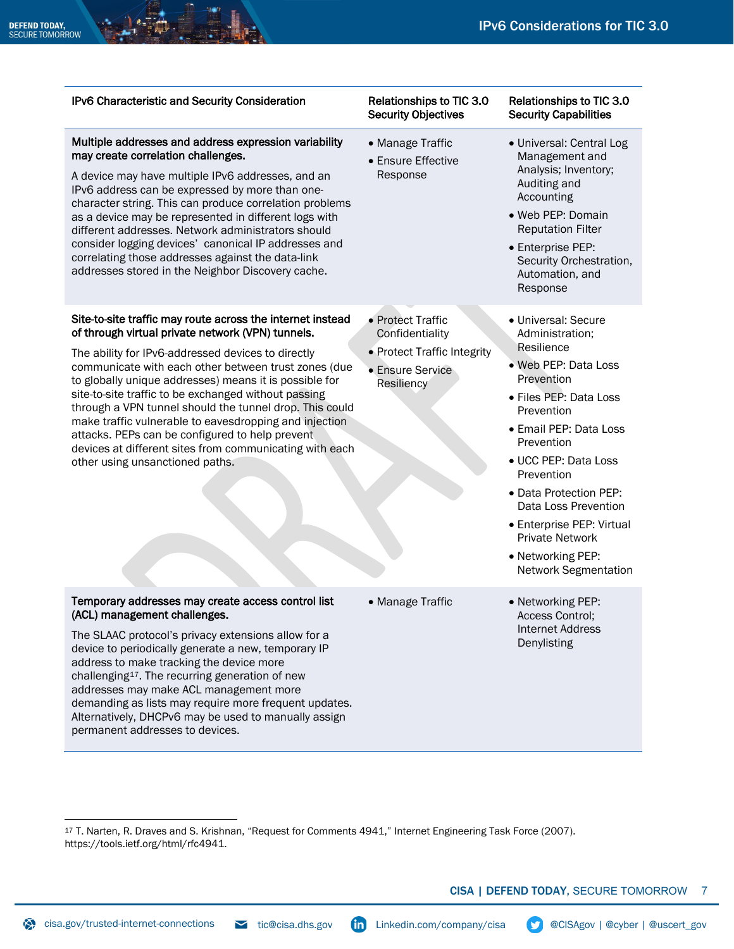#### IPv6 Characteristic and Security Consideration Relationships to TIC 3.0

#### Multiple addresses and address expression variability may create correlation challenges.

A device may have multiple IPv6 addresses, and an IPv6 address can be expressed by more than onecharacter string. This can produce correlation problems as a device may be represented in different logs with different addresses. Network administrators should consider logging devices' canonical IP addresses and correlating those addresses against the data-link addresses stored in the Neighbor Discovery cache.

#### Site-to-site traffic may route across the internet instead of through virtual private network (VPN) tunnels.

The ability for IPv6-addressed devices to directly communicate with each other between trust zones (due to globally unique addresses) means it is possible for site-to-site traffic to be exchanged without passing through a VPN tunnel should the tunnel drop. This could make traffic vulnerable to eavesdropping and injection attacks. PEPs can be configured to help prevent devices at different sites from communicating with each other using unsanctioned paths.

#### Temporary addresses may create access control list (ACL) management challenges.

The SLAAC protocol's privacy extensions allow for a device to periodically generate a new, temporary IP address to make tracking the device more challenging[17.](#page-6-0) The recurring generation of new addresses may make ACL management more demanding as lists may require more frequent updates. Alternatively, DHCPv6 may be used to manually assign permanent addresses to devices.

## Security Objectives

- Manage Traffic
- Ensure Effective Response

• Protect Traffic **Confidentiality** • Protect Traffic Integrity

• Ensure Service **Resiliency** 

- Relationships to TIC 3.0 Security Capabilities
- Universal: Central Log Management and Analysis; Inventory; Auditing and Accounting
- Web PEP: Domain Reputation Filter
- Enterprise PEP: Security Orchestration, Automation, and Response
- Universal: Secure Administration; Resilience
- Web PEP: Data Loss Prevention
- Files PEP: Data Loss Prevention
- Email PEP: Data Loss Prevention
- UCC PEP: Data Loss Prevention
- Data Protection PEP: Data Loss Prevention
- Enterprise PEP: Virtual Private Network
- Networking PEP: Network Segmentation
- Manage Traffic Networking PEP: Access Control; Internet Address Denylisting

<span id="page-6-0"></span><sup>17</sup> T. Narten, R. Draves and S. Krishnan, "Request for Comments 4941," Internet Engineering Task Force (2007). https://tools.ietf.org/html/rfc4941.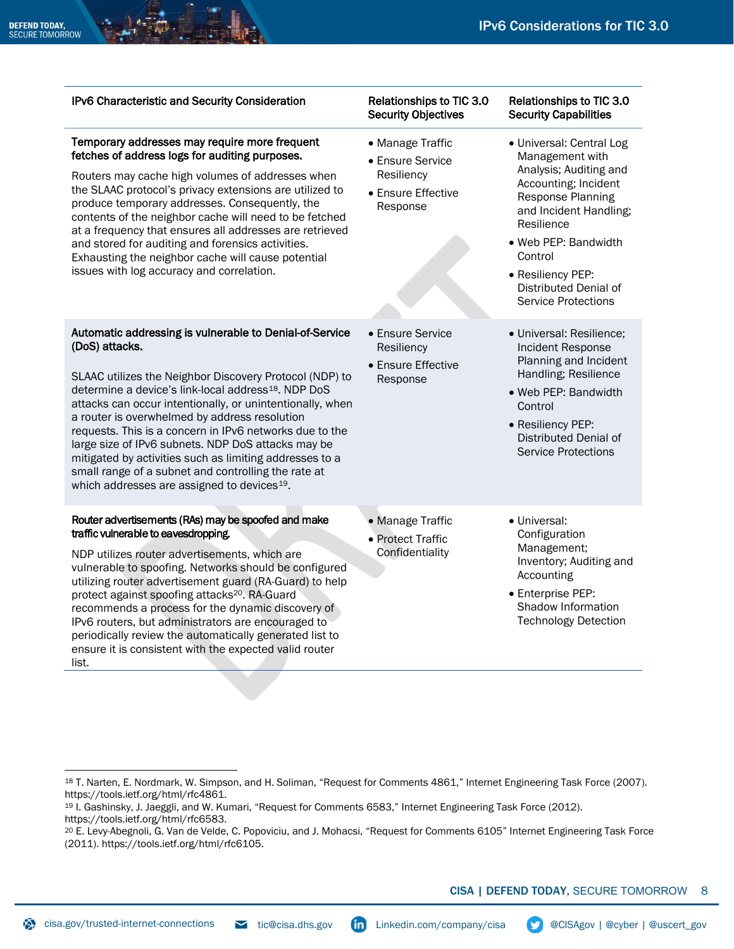| IPv6 Characteristic and Security Consideration                                                                                                                                                                                                                                                                                                                                                                                                                                                                                                                                                                      | Relationships to TIC 3.0<br><b>Security Objectives</b>                                      | Relationships to TIC 3.0<br><b>Security Capabilities</b>                                                                                                                                                                                                                         |
|---------------------------------------------------------------------------------------------------------------------------------------------------------------------------------------------------------------------------------------------------------------------------------------------------------------------------------------------------------------------------------------------------------------------------------------------------------------------------------------------------------------------------------------------------------------------------------------------------------------------|---------------------------------------------------------------------------------------------|----------------------------------------------------------------------------------------------------------------------------------------------------------------------------------------------------------------------------------------------------------------------------------|
| Temporary addresses may require more frequent<br>fetches of address logs for auditing purposes.<br>Routers may cache high volumes of addresses when<br>the SLAAC protocol's privacy extensions are utilized to<br>produce temporary addresses. Consequently, the<br>contents of the neighbor cache will need to be fetched<br>at a frequency that ensures all addresses are retrieved<br>and stored for auditing and forensics activities.<br>Exhausting the neighbor cache will cause potential<br>issues with log accuracy and correlation.                                                                       | • Manage Traffic<br><b>• Ensure Service</b><br>Resiliency<br>• Ensure Effective<br>Response | · Universal: Central Log<br>Management with<br>Analysis; Auditing and<br>Accounting; Incident<br><b>Response Planning</b><br>and Incident Handling;<br>Resilience<br>• Web PEP: Bandwidth<br>Control<br>· Resiliency PEP:<br>Distributed Denial of<br><b>Service Protections</b> |
| Automatic addressing is vulnerable to Denial-of-Service<br>(DoS) attacks.<br>SLAAC utilizes the Neighbor Discovery Protocol (NDP) to<br>determine a device's link-local address <sup>18</sup> . NDP DoS<br>attacks can occur intentionally, or unintentionally, when<br>a router is overwhelmed by address resolution<br>requests. This is a concern in IPv6 networks due to the<br>large size of IPv6 subnets. NDP DoS attacks may be<br>mitigated by activities such as limiting addresses to a<br>small range of a subnet and controlling the rate at<br>which addresses are assigned to devices <sup>19</sup> . | • Ensure Service<br>Resiliency<br>• Ensure Effective<br>Response                            | · Universal: Resilience;<br>Incident Response<br>Planning and Incident<br>Handling; Resilience<br>• Web PEP: Bandwidth<br>Control<br>· Resiliency PEP:<br>Distributed Denial of<br><b>Service Protections</b>                                                                    |
| Router advertisements (RAs) may be spoofed and make<br>traffic vulnerable to eavesdropping.<br>NDP utilizes router advertisements, which are<br>vulnerable to spoofing. Networks should be configured<br>utilizing router advertisement guard (RA-Guard) to help<br>protect against spoofing attacks <sup>20</sup> . RA-Guard<br>recommends a process for the dynamic discovery of<br>IPv6 routers, but administrators are encouraged to<br>periodically review the automatically generated list to<br>ensure it is consistent with the expected valid router<br>list.                                              | • Manage Traffic<br>• Protect Traffic<br>Confidentiality                                    | • Universal:<br>Configuration<br>Management;<br>Inventory; Auditing and<br>Accounting<br>• Enterprise PEP:<br>Shadow Information<br><b>Technology Detection</b>                                                                                                                  |

<span id="page-7-0"></span><sup>18</sup> T. Narten, E. Nordmark, W. Simpson, and H. Soliman, "Request for Comments 4861," Internet Engineering Task Force (2007). https://tools.ietf.org/html/rfc4861.

<span id="page-7-1"></span><sup>19</sup> I. Gashinsky, J. Jaeggli, and W. Kumari, "Request for Comments 6583," Internet Engineering Task Force (2012). https://tools.ietf.org/html/rfc6583.

<span id="page-7-2"></span><sup>20</sup> E. Levy-Abegnoli, G. Van de Velde, C. Popoviciu, and J. Mohacsi, "Request for Comments 6105" Internet Engineering Task Force (2011). https://tools.ietf.org/html/rfc6105.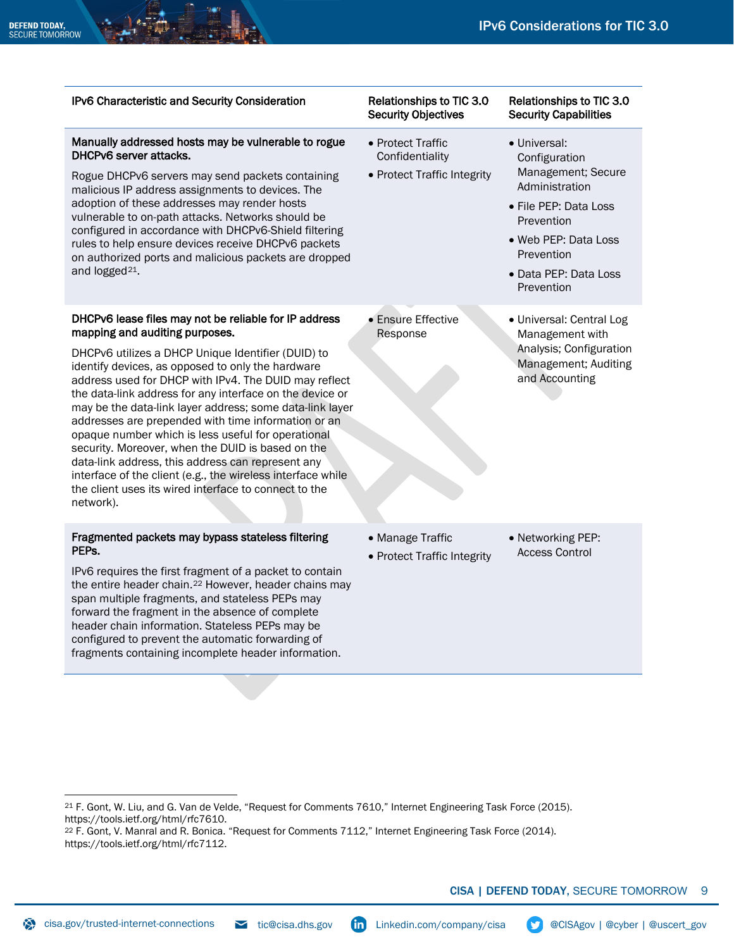## IPv6 Characteristic and Security Consideration Relationships to TIC 3.0

## Manually addressed hosts may be vulnerable to rogue DHCPv6 server attacks.

Rogue DHCPv6 servers may send packets containing malicious IP address assignments to devices. The adoption of these addresses may render hosts vulnerable to on-path attacks. Networks should be configured in accordance with DHCPv6-Shield filtering rules to help ensure devices receive DHCPv6 packets on authorized ports and malicious packets are dropped and logged<sup>[21](#page-8-0)</sup>.

#### DHCPv6 lease files may not be reliable for IP address mapping and auditing purposes.

DHCPv6 utilizes a DHCP Unique Identifier (DUID) to identify devices, as opposed to only the hardware address used for DHCP with IPv4. The DUID may reflect the data-link address for any interface on the device or may be the data-link layer address; some data-link layer addresses are prepended with time information or an opaque number which is less useful for operational security. Moreover, when the DUID is based on the data-link address, this address can represent any interface of the client (e.g., the wireless interface while the client uses its wired interface to connect to the network).

#### Fragmented packets may bypass stateless filtering PEPs.

IPv6 requires the first fragment of a packet to contain the entire header chain.<sup>[22](#page-8-1)</sup> However, header chains may span multiple fragments, and stateless PEPs may forward the fragment in the absence of complete header chain information. Stateless PEPs may be configured to prevent the automatic forwarding of fragments containing incomplete header information.

Security Objectives

#### Relationships to TIC 3.0 Security Capabilities

• Protect Traffic Confidentiality

• Ensure Effective Response

- Protect Traffic Integrity
- Administration • File PEP: Data Loss Prevention

Management; Secure

• Universal: Configuration

- Web PEP: Data Loss Prevention
- Data PEP: Data Loss Prevention
- Universal: Central Log Management with Analysis; Configuration Management; Auditing and Accounting

- Manage Traffic
- Protect Traffic Integrity
- Networking PEP: Access Control

<span id="page-8-0"></span><sup>21</sup> F. Gont, W. Liu, and G. Van de Velde, "Request for Comments 7610," Internet Engineering Task Force (2015). https://tools.ietf.org/html/rfc7610.

<span id="page-8-1"></span><sup>22</sup> F. Gont, V. Manral and R. Bonica. "Request for Comments 7112," Internet Engineering Task Force (2014). https://tools.ietf.org/html/rfc7112.